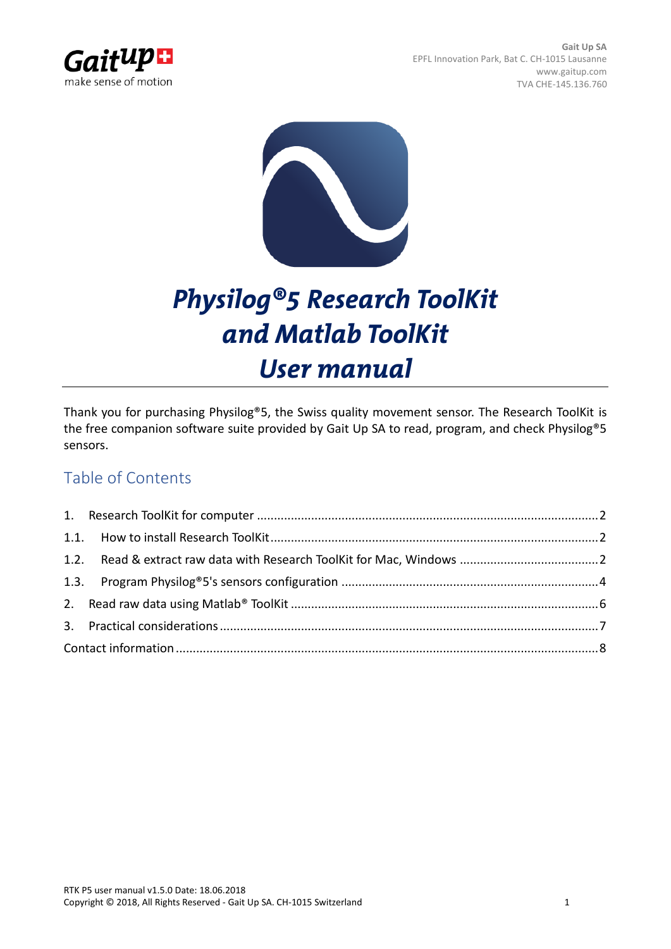



# *Physilog®5 Research ToolKit and Matlab ToolKit User manual*

Thank you for purchasing Physilog®5, the Swiss quality movement sensor. The Research ToolKit is the free companion software suite provided by Gait Up SA to read, program, and check Physilog<sup>®</sup>5 sensors.

## Table of Contents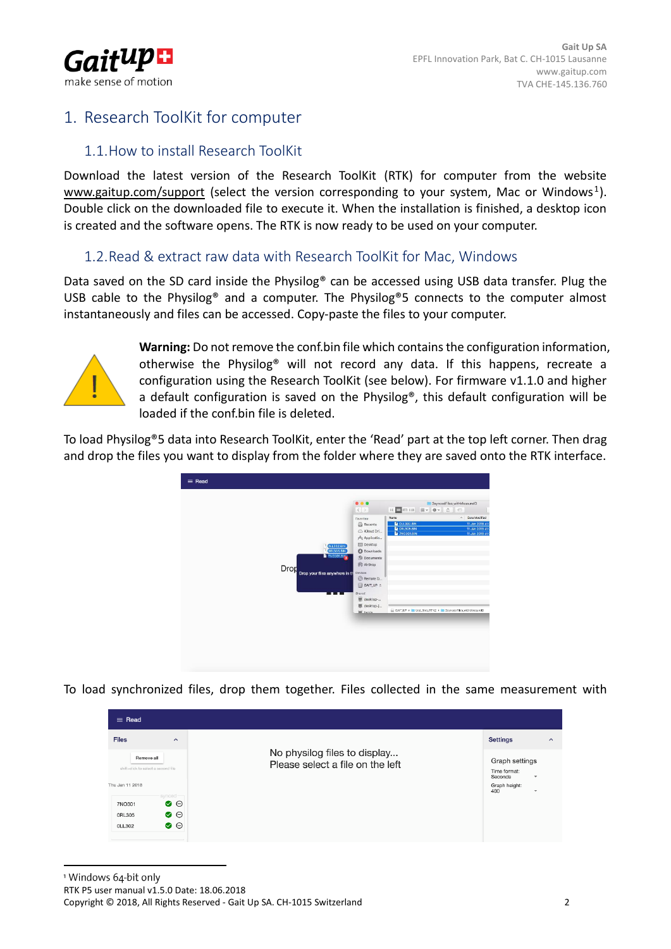

## <span id="page-1-1"></span><span id="page-1-0"></span>1. Research ToolKit for computer

## 1.1.How to install Research ToolKit

Download the latest version of the Research ToolKit (RTK) for computer from the website [www.gaitup.com/support](http://www.gaitup.com/support2017) (select the version corresponding to your system, Mac or Windows<sup>1</sup>). Double click on the downloaded file to execute it. When the installation is finished, a desktop icon is created and the software opens. The RTK is now ready to be used on your computer.

### <span id="page-1-2"></span>1.2.Read & extract raw data with Research ToolKit for Mac, Windows

Data saved on the SD card inside the Physilog® can be accessed using USB data transfer. Plug the USB cable to the Physilog® and a computer. The Physilog®5 connects to the computer almost instantaneously and files can be accessed. Copy-paste the files to your computer.



**Warning:** Do not remove the conf.bin file which contains the configuration information, otherwise the Physilog® will not record any data. If this happens, recreate a configuration using the Research ToolKit (see below). For firmware v1.1.0 and higher a default configuration is saved on the Physilog®, this default configuration will be loaded if the conf.bin file is deleted.

To load Physilog®5 data into Research ToolKit, enter the 'Read' part at the top left corner. Then drag and drop the files you want to display from the folder where they are saved onto the RTK interface.



To load synchronized files, drop them together. Files collected in the same measurement with

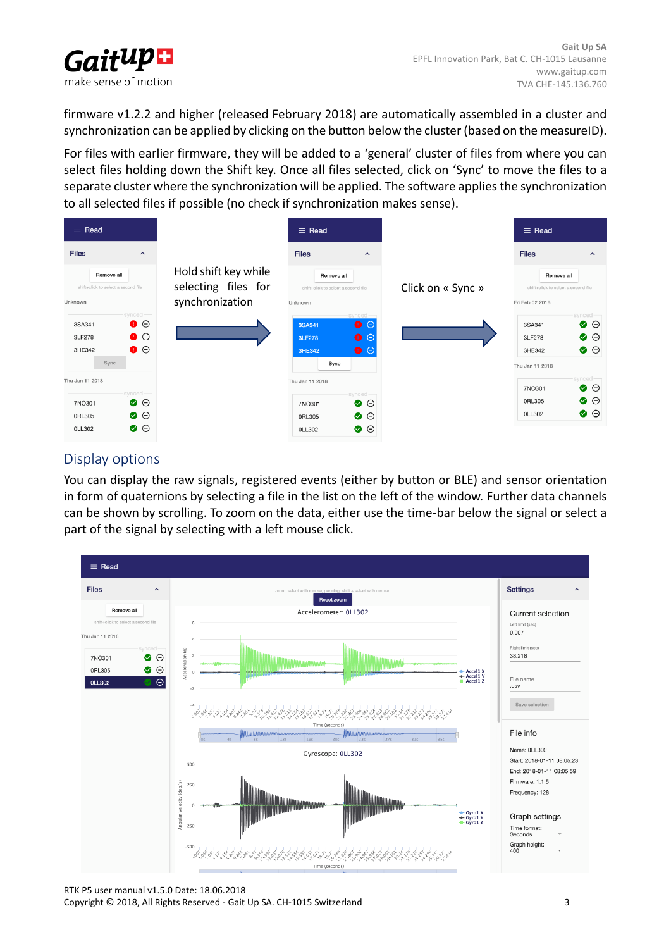

firmware v1.2.2 and higher (released February 2018) are automatically assembled in a cluster and synchronization can be applied by clicking on the button below the cluster (based on the measureID).

For files with earlier firmware, they will be added to a 'general' cluster of files from where you can select files holding down the Shift key. Once all files selected, click on 'Sync' to move the files to a separate cluster where the synchronization will be applied. The software applies the synchronization to all selected files if possible (no check if synchronization makes sense).



## Display options

You can display the raw signals, registered events (either by button or BLE) and sensor orientation in form of quaternions by selecting a file in the list on the left of the window. Further data channels can be shown by scrolling. To zoom on the data, either use the time-bar below the signal or select a part of the signal by selecting with a left mouse click.

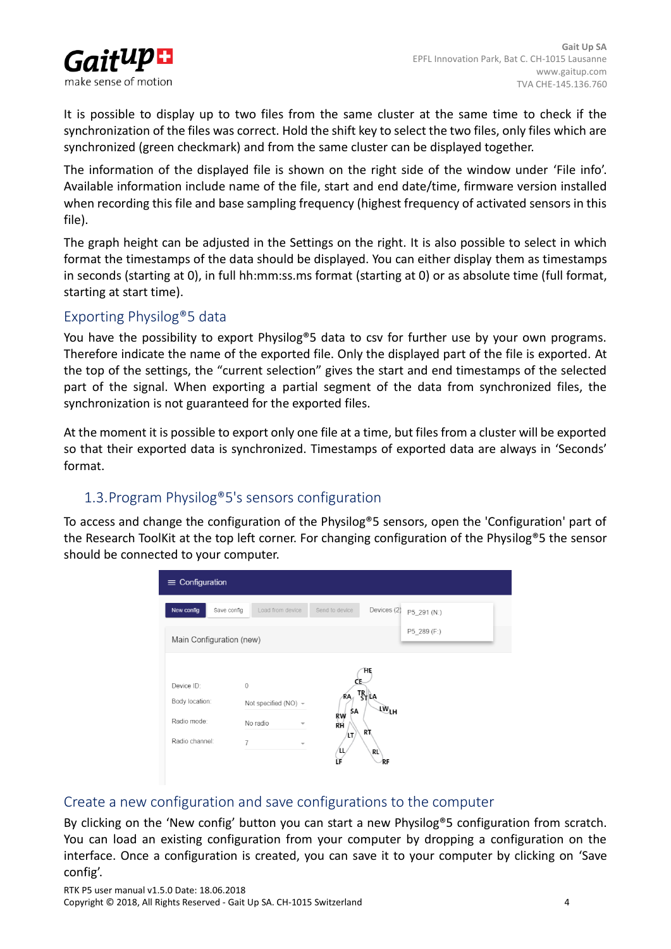

It is possible to display up to two files from the same cluster at the same time to check if the synchronization of the files was correct. Hold the shift key to select the two files, only files which are synchronized (green checkmark) and from the same cluster can be displayed together.

The information of the displayed file is shown on the right side of the window under 'File info'. Available information include name of the file, start and end date/time, firmware version installed when recording this file and base sampling frequency (highest frequency of activated sensors in this file).

The graph height can be adjusted in the Settings on the right. It is also possible to select in which format the timestamps of the data should be displayed. You can either display them as timestamps in seconds (starting at 0), in full hh:mm:ss.ms format (starting at 0) or as absolute time (full format, starting at start time).

### Exporting Physilog®5 data

You have the possibility to export Physilog<sup>®</sup>5 data to csv for further use by your own programs. Therefore indicate the name of the exported file. Only the displayed part of the file is exported. At the top of the settings, the "current selection" gives the start and end timestamps of the selected part of the signal. When exporting a partial segment of the data from synchronized files, the synchronization is not guaranteed for the exported files.

At the moment it is possible to export only one file at a time, but files from a cluster will be exported so that their exported data is synchronized. Timestamps of exported data are always in 'Seconds' format.

## <span id="page-3-0"></span>1.3.Program Physilog®5's sensors configuration

To access and change the configuration of the Physilog®5 sensors, open the 'Configuration' part of the Research ToolKit at the top left corner. For changing configuration of the Physilog®5 the sensor should be connected to your computer.

| $\equiv$ Configuration           |                           |                                                                 |             |  |  |  |  |  |
|----------------------------------|---------------------------|-----------------------------------------------------------------|-------------|--|--|--|--|--|
| New config<br>Save config        | Load from device          | Devices (2)<br>Send to device                                   | P5 291 (N:) |  |  |  |  |  |
| Main Configuration (new)         |                           |                                                                 | P5_289 (F:) |  |  |  |  |  |
|                                  |                           | ΉĘ                                                              |             |  |  |  |  |  |
| Device ID:<br>$\mathbf{0}$       |                           | CE                                                              |             |  |  |  |  |  |
| Body location:                   | Not specified (NO) $\sim$ | TR <sub>ST</sub> LA<br>RA.<br>$\overline{\mathsf{LW}}$ LH<br>SΑ |             |  |  |  |  |  |
| Radio mode:                      | No radio                  | ŔŴ<br>ŘĤ                                                        |             |  |  |  |  |  |
| Radio channel:<br>$\overline{7}$ |                           | RT<br>LT,                                                       |             |  |  |  |  |  |
|                                  |                           | RL)<br>ш<br>RΕ                                                  |             |  |  |  |  |  |

### Create a new configuration and save configurations to the computer

By clicking on the 'New config' button you can start a new Physilog®5 configuration from scratch. You can load an existing configuration from your computer by dropping a configuration on the interface. Once a configuration is created, you can save it to your computer by clicking on 'Save config'.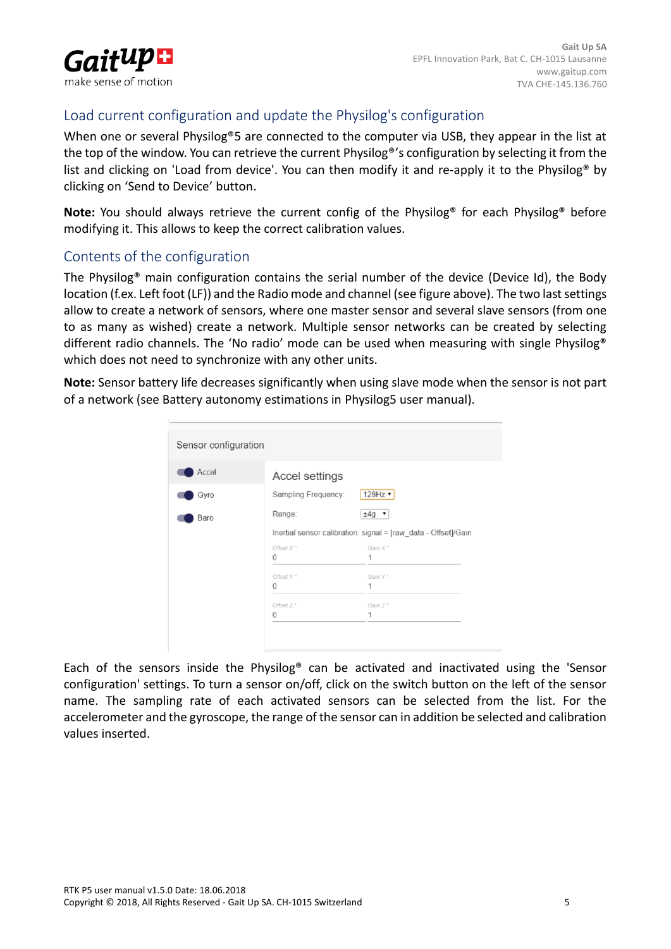

## Load current configuration and update the Physilog's configuration

When one or several Physilog<sup>®</sup>5 are connected to the computer via USB, they appear in the list at the top of the window. You can retrieve the current Physilog®'s configuration by selecting it from the list and clicking on 'Load from device'. You can then modify it and re-apply it to the Physilog® by clicking on 'Send to Device' button.

**Note:** You should always retrieve the current config of the Physilog<sup>®</sup> for each Physilog<sup>®</sup> before modifying it. This allows to keep the correct calibration values.

### Contents of the configuration

The Physilog® main configuration contains the serial number of the device (Device Id), the Body location (f.ex. Left foot (LF)) and the Radio mode and channel (see figure above). The two last settings allow to create a network of sensors, where one master sensor and several slave sensors (from one to as many as wished) create a network. Multiple sensor networks can be created by selecting different radio channels. The 'No radio' mode can be used when measuring with single Physilog® which does not need to synchronize with any other units.

**Note:** Sensor battery life decreases significantly when using slave mode when the sensor is not part of a network (see Battery autonomy estimations in Physilog5 user manual).

| Sensor configuration |                                                                |         |  |  |
|----------------------|----------------------------------------------------------------|---------|--|--|
| Accel                | Accel settings                                                 |         |  |  |
| Gyro                 | Sampling Frequency:                                            | 128Hz   |  |  |
| Baro                 | Range:                                                         | $±4g$ ▼ |  |  |
|                      | Inertial sensor calibration: signal = [raw_data - Offset]/Gain |         |  |  |
|                      | Offset X <sup>*</sup>                                          | Gain X* |  |  |
|                      | $\Omega$                                                       | 1       |  |  |
|                      | Offset Y*                                                      | Gain Y* |  |  |
|                      | $\mathbf{0}$                                                   | 1       |  |  |
|                      | Offset Z <sup>*</sup>                                          | Gain Z* |  |  |
|                      | $\Omega$                                                       | 1       |  |  |
|                      |                                                                |         |  |  |
|                      |                                                                |         |  |  |
|                      |                                                                |         |  |  |

Each of the sensors inside the Physilog® can be activated and inactivated using the 'Sensor configuration' settings. To turn a sensor on/off, click on the switch button on the left of the sensor name. The sampling rate of each activated sensors can be selected from the list. For the accelerometer and the gyroscope, the range of the sensor can in addition be selected and calibration values inserted.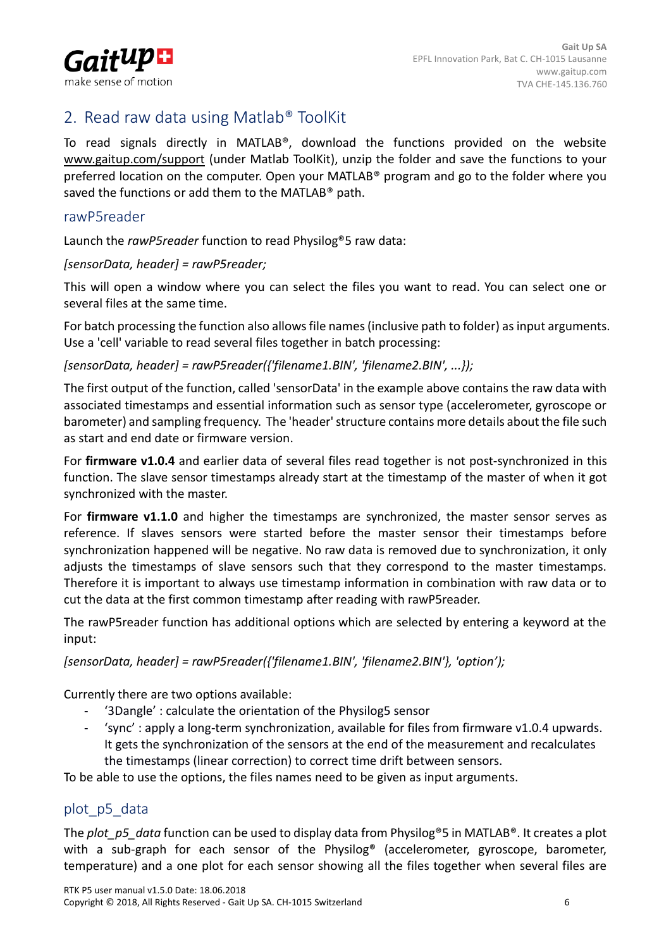

## <span id="page-5-0"></span>2. Read raw data using Matlab® ToolKit

To read signals directly in MATLAB®, download the functions provided on the website [www.gaitup.com/support](http://www.gaitup.com/support2017) (under Matlab ToolKit), unzip the folder and save the functions to your preferred location on the computer. Open your MATLAB® program and go to the folder where you saved the functions or add them to the MATLAB® path.

#### rawP5reader

Launch the *rawP5reader* function to read Physilog®5 raw data:

*[sensorData, header] = rawP5reader;*

This will open a window where you can select the files you want to read. You can select one or several files at the same time.

For batch processing the function also allows file names (inclusive path to folder) as input arguments. Use a 'cell' variable to read several files together in batch processing:

#### *[sensorData, header] = rawP5reader({'filename1.BIN', 'filename2.BIN', ...});*

The first output of the function, called 'sensorData' in the example above contains the raw data with associated timestamps and essential information such as sensor type (accelerometer, gyroscope or barometer) and sampling frequency. The 'header' structure contains more details about the file such as start and end date or firmware version.

For **firmware v1.0.4** and earlier data of several files read together is not post-synchronized in this function. The slave sensor timestamps already start at the timestamp of the master of when it got synchronized with the master.

For **firmware v1.1.0** and higher the timestamps are synchronized, the master sensor serves as reference. If slaves sensors were started before the master sensor their timestamps before synchronization happened will be negative. No raw data is removed due to synchronization, it only adjusts the timestamps of slave sensors such that they correspond to the master timestamps. Therefore it is important to always use timestamp information in combination with raw data or to cut the data at the first common timestamp after reading with rawP5reader.

The rawP5reader function has additional options which are selected by entering a keyword at the input:

*[sensorData, header] = rawP5reader({'filename1.BIN', 'filename2.BIN'}, 'option');*

Currently there are two options available:

- '3Dangle' : calculate the orientation of the Physilog5 sensor
- 'sync' : apply a long-term synchronization, available for files from firmware v1.0.4 upwards. It gets the synchronization of the sensors at the end of the measurement and recalculates the timestamps (linear correction) to correct time drift between sensors.

To be able to use the options, the files names need to be given as input arguments.

### plot\_p5\_data

The *plot* p5 data function can be used to display data from Physilog®5 in MATLAB®. It creates a plot with a sub-graph for each sensor of the Physilog<sup>®</sup> (accelerometer, gyroscope, barometer, temperature) and a one plot for each sensor showing all the files together when several files are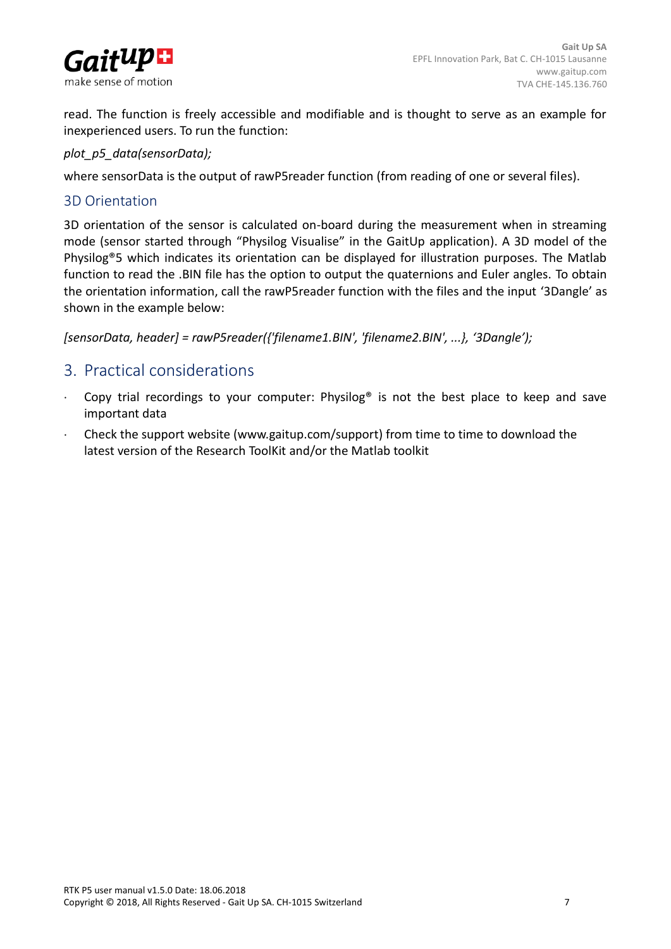

read. The function is freely accessible and modifiable and is thought to serve as an example for inexperienced users. To run the function:

*plot\_p5\_data(sensorData);*

where sensorData is the output of rawP5reader function (from reading of one or several files).

#### 3D Orientation

3D orientation of the sensor is calculated on-board during the measurement when in streaming mode (sensor started through "Physilog Visualise" in the GaitUp application). A 3D model of the Physilog®5 which indicates its orientation can be displayed for illustration purposes. The Matlab function to read the .BIN file has the option to output the quaternions and Euler angles. To obtain the orientation information, call the rawP5reader function with the files and the input '3Dangle' as shown in the example below:

*[sensorData, header] = rawP5reader({'filename1.BIN', 'filename2.BIN', ...}, '3Dangle');*

## <span id="page-6-0"></span>3. Practical considerations

- Copy trial recordings to your computer: Physilog® is not the best place to keep and save important data
- Check the support website [\(www.gaitup.com/support\)](http://www.gaitup.com/support2017) from time to time to download the latest version of the Research ToolKit and/or the Matlab toolkit